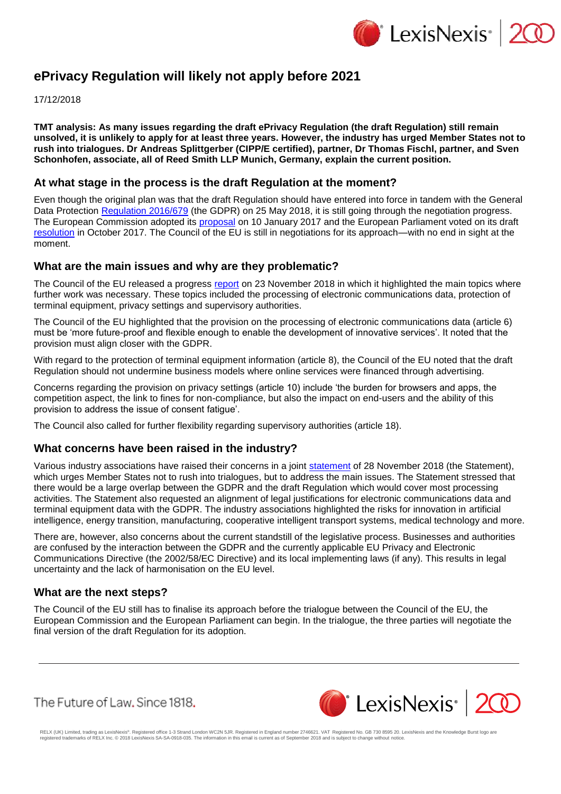

# **ePrivacy Regulation will likely not apply before 2021**

17/12/2018

**TMT analysis: As many issues regarding the draft ePrivacy Regulation (the draft Regulation) still remain unsolved, it is unlikely to apply for at least three years. However, the industry has urged Member States not to rush into trialogues. Dr Andreas Splittgerber (CIPP/E certified), partner, Dr Thomas Fischl, partner, and Sven Schonhofen, associate, all of Reed Smith LLP Munich, Germany, explain the current position.**

## **At what stage in the process is the draft Regulation at the moment?**

Even though the original plan was that the draft Regulation should have entered into force in tandem with the General Data Protection [Regulation 2016/679](https://www.lexisnexis.com/uk/lexispsl/commercial/citationlinkHandler.faces?bct=A&service=citation&risb=&EU_REG&$num!%2532016R0679%25) (the GDPR) on 25 May 2018, it is still going through the negotiation progress. The European Commission adopted its [proposal](https://ec.europa.eu/digital-single-market/en/news/proposal-regulation-privacy-and-electronic-communications&sa=D&ust=1544730358366000&usg=AFQjCNGcCMzacUJQT_PKrTsKZVW7t-4nGA) on 10 January 2017 and the European Parliament voted on its draft [resolution](https://ec.europa.eu/digital-single-market/en/news/proposal-regulation-privacy-and-electronic-communications7_3&sa=D&ust=1544730358367000&usg=AFQjCNFdX--kUZ6-zGtnmG5kBiEi_6QuBA) in October 2017. The Council of the EU is still in negotiations for its approach—with no end in sight at the moment.

### **What are the main issues and why are they problematic?**

The Council of the EU released a progress [report](https://data.consilium.europa.eu/doc/document/ST-14491-2018-INIT/en/pdf&sa=D&ust=1544730358368000&usg=AFQjCNF87cZKT7sABd8GxT5qy79t1OWcdw) on 23 November 2018 in which it highlighted the main topics where further work was necessary. These topics included the processing of electronic communications data, protection of terminal equipment, privacy settings and supervisory authorities.

The Council of the EU highlighted that the provision on the processing of electronic communications data (article 6) must be 'more future-proof and flexible enough to enable the development of innovative services'. It noted that the provision must align closer with the GDPR.

With regard to the protection of terminal equipment information (article 8), the Council of the EU noted that the draft Regulation should not undermine business models where online services were financed through advertising.

Concerns regarding the provision on privacy settings (article 10) include 'the burden for browsers and apps, the competition aspect, the link to fines for non-compliance, but also the impact on end-users and the ability of this provision to address the issue of consent fatigue'.

The Council also called for further flexibility regarding supervisory authorities (article 18).

#### **What concerns have been raised in the industry?**

Various industry associations have raised their concerns in a joint [statement](https://www.cocir.org/uploads/media/ePR_Nov._2018_joint_letter_FINAL.pdf) of 28 November 2018 (the Statement), which urges Member States not to rush into trialogues, but to address the main issues. The Statement stressed that there would be a large overlap between the GDPR and the draft Regulation which would cover most processing activities. The Statement also requested an alignment of legal justifications for electronic communications data and terminal equipment data with the GDPR. The industry associations highlighted the risks for innovation in artificial intelligence, energy transition, manufacturing, cooperative intelligent transport systems, medical technology and more.

There are, however, also concerns about the current standstill of the legislative process. Businesses and authorities are confused by the interaction between the GDPR and the currently applicable EU Privacy and Electronic Communications Directive (the 2002/58/EC Directive) and its local implementing laws (if any). This results in legal uncertainty and the lack of harmonisation on the EU level.

#### **What are the next steps?**

The Council of the EU still has to finalise its approach before the trialogue between the Council of the EU, the European Commission and the European Parliament can begin. In the trialogue, the three parties will negotiate the final version of the draft Regulation for its adoption.

The Future of Law, Since 1818.



RELX (UK) Limited, trading as LexisNexis®. Registered office 1-3 Strand London WC2N 5JR. Registered in England number 2746621. VAT Registered No. GB 730 8595 20. LexisNexis and the Knowledge Burst logo are<br>registered trade